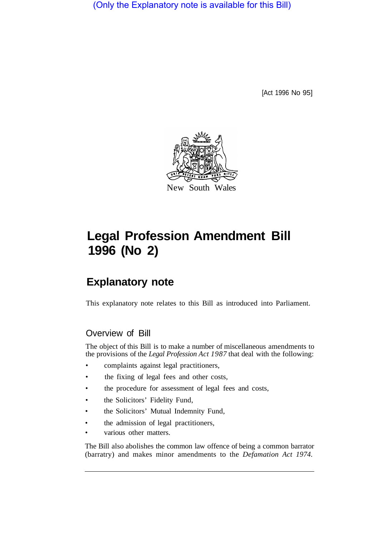(Only the Explanatory note is available for this Bill)

[Act 1996 No 95]



# **Legal Profession Amendment Bill 1996 (No 2)**

## **Explanatory note**

This explanatory note relates to this Bill as introduced into Parliament.

## Overview of Bill

The object of this Bill is to make a number of miscellaneous amendments to the provisions of the *Legal Profession Act 1987* that deal with the following:

- complaints against legal practitioners,
- the fixing of legal fees and other costs,
- the procedure for assessment of legal fees and costs,
- the Solicitors' Fidelity Fund,
- the Solicitors' Mutual Indemnity Fund,
- the admission of legal practitioners,
- various other matters.

The Bill also abolishes the common law offence of being a common barrator (barratry) and makes minor amendments to the *Defamation Act 1974.*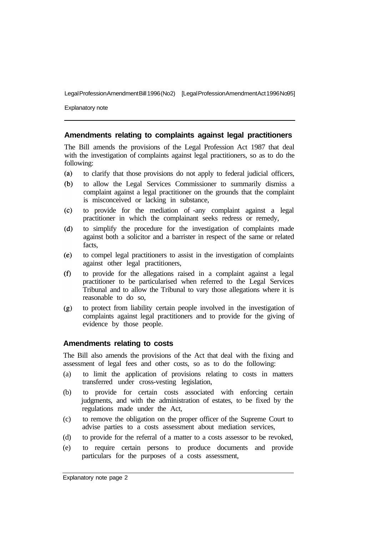Explanatory note

#### **Amendments relating to complaints against legal practitioners**

The Bill amends the provisions of the Legal Profession Act 1987 that deal with the investigation of complaints against legal practitioners, so as to do the following:

- $(a)$ to clarify that those provisions do not apply to federal judicial officers,
- $(b)$ to allow the Legal Services Commissioner to summarily dismiss a complaint against a legal practitioner on the grounds that the complaint is misconceived or lacking in substance,
- to provide for the mediation of -any complaint against a legal  $(c)$ practitioner in which the complainant seeks redress or remedy,
- $(d)$ to simplify the procedure for the investigation of complaints made against both a solicitor and a barrister in respect of the same or related facts,
- to compel legal practitioners to assist in the investigation of complaints  $(e)$ against other legal practitioners,
- $(f)$ to provide for the allegations raised in a complaint against a legal practitioner to be particularised when referred to the Legal Services Tribunal and to allow the Tribunal to vary those allegations where it is reasonable to do so,
- to protect from liability certain people involved in the investigation of  $(g)$ complaints against legal practitioners and to provide for the giving of evidence by those people.

#### **Amendments relating to costs**

The Bill also amends the provisions of the Act that deal with the fixing and assessment of legal fees and other costs, so as to do the following:

- (a) to limit the application of provisions relating to costs in matters transferred under cross-vesting legislation,
- (b) to provide for certain costs associated with enforcing certain judgments, and with the administration of estates, to be fixed by the regulations made under the Act,
- (c) to remove the obligation on the proper officer of the Supreme Court to advise parties to a costs assessment about mediation services,
- (d) to provide for the referral of a matter to a costs assessor to be revoked,
- (e) to require certain persons to produce documents and provide particulars for the purposes of a costs assessment,

Explanatory note page 2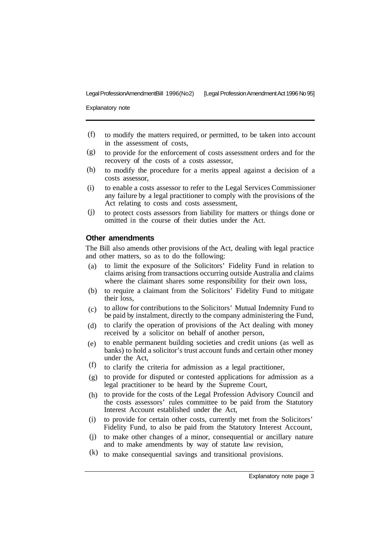Explanatory note

- to modify the matters required, or permitted, to be taken into account in the assessment of costs, (f)
- to provide for the enforcement of costs assessment orders and for the recovery of the costs of a costs assessor, (g)
- to modify the procedure for a merits appeal against a decision of a costs assessor, (h)
- to enable a costs assessor to refer to the Legal Services Commissioner any failure by a legal practitioner to comply with the provisions of the Act relating to costs and costs assessment, (i)
- to protect costs assessors from liability for matters or things done or omitted in the course of their duties under the Act. (j)

#### **Other amendments**

The Bill also amends other provisions of the Act, dealing with legal practice and other matters, so as to do the following:

- to limit the exposure of the Solicitors' Fidelity Fund in relation to claims arising from transactions occurring outside Australia and claims where the claimant shares some responsibility for their own loss, (a)
- to require a claimant from the Solicitors' Fidelity Fund to mitigate their loss, (b)
- to allow for contributions to the Solicitors' Mutual Indemnity Fund to be paid by instalment, directly to the company administering the Fund, (c)
- to clarify the operation of provisions of the Act dealing with money received by a solicitor on behalf of another person, (d)
- to enable permanent building societies and credit unions (as well as banks) to hold a solicitor's trust account funds and certain other money under the Act, (e)
- to clarify the criteria for admission as a legal practitioner, (f)
- (g) to provide for disputed or contested applications for admission as a legal practitioner to be heard by the Supreme Court,
- to provide for the costs of the Legal Profession Advisory Council and the costs assessors' rules committee to be paid from the Statutory Interest Account established under the Act, (h)
- (i) to provide for certain other costs, currently met from the Solicitors' Fidelity Fund, to also be paid from the Statutory Interest Account,
- to make other changes of a minor, consequential or ancillary nature and to make amendments by way of statute law revision, (j)
- $(k)$  to make consequential savings and transitional provisions.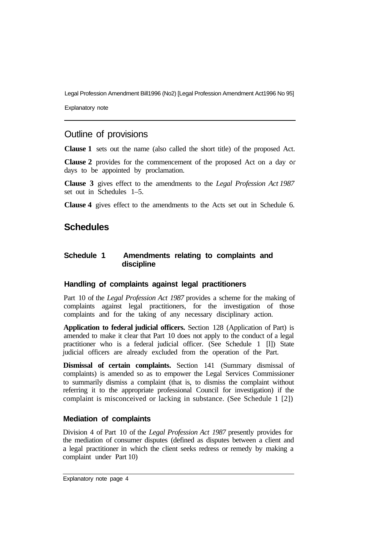Explanatory note

## Outline of provisions

**Clause 1** sets out the name (also called the short title) of the proposed Act.

**Clause 2** provides for the commencement of the proposed Act on a day or days to be appointed by proclamation.

**Clause 3** gives effect to the amendments to the *Legal Profession Act 1987*  set out in Schedules 1–5.

**Clause 4** gives effect to the amendments to the Acts set out in Schedule 6.

## **Schedules**

#### **Schedule 1 Amendments relating to complaints and discipline**

#### **Handling of complaints against legal practitioners**

Part 10 of the *Legal Profession Act 1987* provides a scheme for the making of complaints against legal practitioners, for the investigation of those complaints and for the taking of any necessary disciplinary action.

**Application to federal judicial officers.** Section 128 (Application of Part) is amended to make it clear that Part 10 does not apply to the conduct of a legal practitioner who is a federal judicial officer. (See Schedule 1 [l]) State judicial officers are already excluded from the operation of the Part.

**Dismissal of certain complaints.** Section 141 (Summary dismissal of complaints) is amended so as to empower the Legal Services Commissioner to summarily dismiss a complaint (that is, to dismiss the complaint without referring it to the appropriate professional Council for investigation) if the complaint is misconceived or lacking in substance. (See Schedule 1 [2])

#### **Mediation of complaints**

Division 4 of Part 10 of the *Legal Profession Act 1987* presently provides for the mediation of consumer disputes (defined as disputes between a client and a legal practitioner in which the client seeks redress or remedy by making a complaint under Part 10)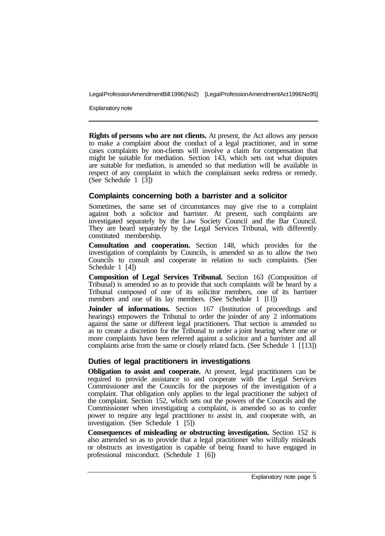Explanatory note

**Rights of persons who are not clients.** At present, the Act allows any person to make a complaint about the conduct of a legal practitioner, and in some cases complaints by non-clients will involve a claim for compensation that might be suitable for mediation. Section 143, which sets out what disputes are suitable for mediation, is amended so that mediation will be available in respect of any complaint in which the complainant seeks redress or remedy. (See Schedule 1 [3])

#### **Complaints concerning both a barrister and a solicitor**

Sometimes, the same set of circumstances may give rise to a complaint against both a solicitor and barrister. At present, such complaints are investigated separately by the Law Society Council and the Bar Council. They are heard separately by the Legal Services Tribunal, with differently constituted membership.

**Consultation and cooperation.** Section 148, which provides for the investigation of complaints by Councils, is amended so as to allow the two Councils to consult and cooperate in relation to such complaints. (See Schedule 1 [4])

**Composition of Legal Services Tribunal.** Section 163 (Composition of Tribunal) is amended so as to provide that such complaints will be heard by a Tribunal composed of one of its solicitor members, one of its barrister members and one of its lay members. (See Schedule 1 [11])

**Joinder of informations.** Section 167 (Institution of proceedings and hearings) empowers the Tribunal to order the joinder of any 2 informations against the same or different legal practitioners. That section is amended so as to create a discretion for the Tribunal to order a joint hearing where one or more complaints have been referred against a solicitor and a barrister and all complaints arise from the same or closely related facts. (See Schedule 1 [ [13])

#### **Duties of legal practitioners in investigations**

**Obligation to assist and cooperate.** At present, legal practitioners can be required to provide assistance to and cooperate with the Legal Services Commissioner and the Councils for the purposes of the investigation of a complaint. That obligation only applies to the legal practitioner the subject of the complaint. Section 152, which sets out the powers of the Councils and the Commissioner when investigating a complaint, is amended so as to confer power to require any legal practitioner to assist in, and cooperate with, an investigation. (See Schedule 1 [5])

**Consequences of misleading or obstructing investigation.** Section 152 is also amended so as to provide that a legal practitioner who wilfully misleads or obstructs an investigation is capable of being found to have engaged in professional misconduct. (Schedule 1 [6])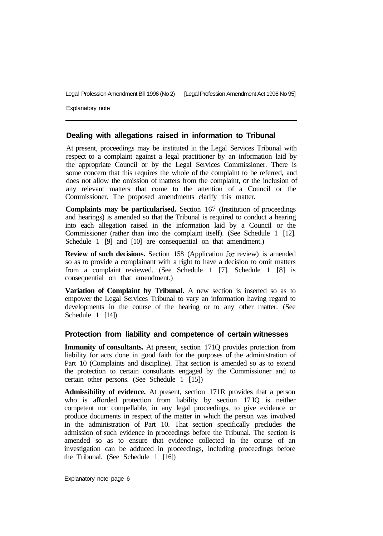Explanatory note

#### **Dealing with allegations raised in information to Tribunal**

At present, proceedings may be instituted in the Legal Services Tribunal with respect to a complaint against a legal practitioner by an information laid by the appropriate Council or by the Legal Services Commissioner. There is some concern that this requires the whole of the complaint to be referred, and does not allow the omission of matters from the complaint, or the inclusion of any relevant matters that come to the attention of a Council or the Commissioner. The proposed amendments clarify this matter.

**Complaints may be particularised.** Section 167 (Institution of proceedings and hearings) is amended so that the Tribunal is required to conduct a hearing into each allegation raised in the information laid by a Council or the Commissioner (rather than into the complaint itself). (See Schedule 1 [12]. Schedule 1 [9] and [10] are consequential on that amendment.)

**Review of such decisions.** Section 158 (Application for review) is amended so as to provide a complainant with a right to have a decision to omit matters from a complaint reviewed. (See Schedule 1 [7]. Schedule 1 [8] is consequential on that amendment.)

**Variation of Complaint by Tribunal.** A new section is inserted so as to empower the Legal Services Tribunal to vary an information having regard to developments in the course of the hearing or to any other matter. (See Schedule 1 [14])

#### **Protection from liability and competence of certain witnesses**

**Immunity of consultants.** At present, section 171Q provides protection from liability for acts done in good faith for the purposes of the administration of Part 10 (Complaints and discipline). That section is amended so as to extend the protection to certain consultants engaged by the Commissioner and to certain other persons. (See Schedule 1 [15])

**Admissibility of evidence.** At present, section 171R provides that a person who is afforded protection from liability by section 17 IQ is neither competent nor compellable, in any legal proceedings, to give evidence or produce documents in respect of the matter in which the person was involved in the administration of Part 10. That section specifically precludes the admission of such evidence in proceedings before the Tribunal. The section is amended so as to ensure that evidence collected in the course of an investigation can be adduced in proceedings, including proceedings before the Tribunal. (See Schedule 1 [16])

Explanatory note page 6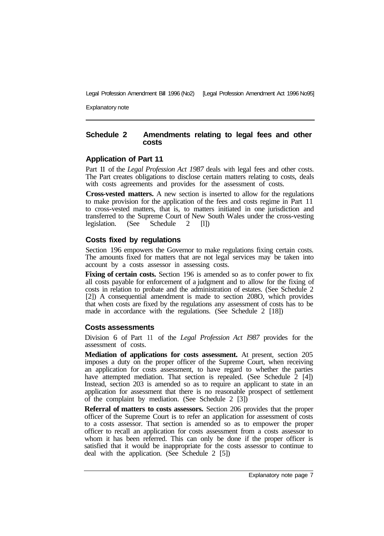Explanatory note

#### **Schedule 2 Amendments relating to legal fees and other costs**

#### **Application of Part 11**

Part **11** of the *Legal Profession Act 1987* deals with legal fees and other costs. The Part creates obligations to disclose certain matters relating to costs, deals with costs agreements and provides for the assessment of costs.

**Cross-vested matters.** A new section is inserted to allow for the regulations to make provision for the application of the fees and costs regime in Part 11 to cross-vested matters, that is, to matters initiated in one jurisdiction and transferred to the Supreme Court of New South Wales under the cross-vesting legislation. (See Schedule 2 [1]) legislation. (See Schedule 2 [l])

#### **Costs fixed by regulations**

Section 196 empowers the Governor to make regulations fixing certain costs. The amounts fixed for matters that are not legal services may be taken into account by a costs assessor in assessing costs.

**Fixing of certain costs.** Section 196 is amended so as to confer power to fix all costs payable for enforcement of a judgment and to allow for the fixing of costs in relation to probate and the administration of estates. (See Schedule 2 [2]) A consequential amendment is made to section 208O, which provides that when costs are fixed by the regulations any assessment of costs has to be made in accordance with the regulations. (See Schedule 2 [18])

#### **Costs assessments**

Division 6 of Part 11 of the *Legal Profession Act I987* provides for the assessment of costs.

**Mediation of applications for costs assessment.** At present, section 205 imposes a duty on the proper officer of the Supreme Court, when receiving an application for costs assessment, to have regard to whether the parties have attempted mediation. That section is repealed. (See Schedule  $\overline{2}$  [4]) Instead, section 203 is amended so as to require an applicant to state in an application for assessment that there is no reasonable prospect of settlement of the complaint by mediation. (See Schedule 2 [3])

**Referral of matters to costs assessors.** Section 206 provides that the proper officer of the Supreme Court is to refer an application for assessment of costs to a costs assessor. That section is amended so as to empower the proper officer to recall an application for costs assessment from a costs assessor to whom it has been referred. This can only be done if the proper officer is satisfied that it would be inappropriate for the costs assessor to continue to deal with the application. (See Schedule 2 [5])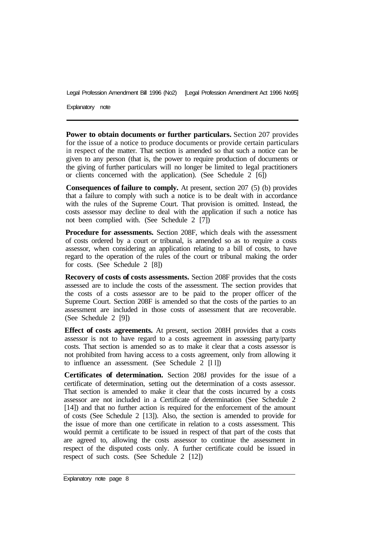Explanatory note

**Power to obtain documents or further particulars.** Section 207 provides for the issue of a notice to produce documents or provide certain particulars in respect of the matter. That section is amended so that such a notice can be given to any person (that is, the power to require production of documents or the giving of further particulars will no longer be limited to legal practitioners or clients concerned with the application). (See Schedule 2 [6])

**Consequences of failure to comply.** At present, section 207 (5) (b) provides that a failure to comply with such a notice is to be dealt with in accordance with the rules of the Supreme Court. That provision is omitted. Instead, the costs assessor may decline to deal with the application if such a notice has not been complied with. (See Schedule 2 [7])

**Procedure for assessments.** Section 208F, which deals with the assessment of costs ordered by a court or tribunal, is amended so as to require a costs assessor, when considering an application relating to a bill of costs, to have regard to the operation of the rules of the court or tribunal making the order for costs. (See Schedule 2 [8])

**Recovery of costs of costs assessments.** Section 208F provides that the costs assessed are to include the costs of the assessment. The section provides that the costs of a costs assessor are to be paid to the proper officer of the Supreme Court. Section 208F is amended so that the costs of the parties to an assessment are included in those costs of assessment that are recoverable. (See Schedule 2 [9])

**Effect of costs agreements.** At present, section 208H provides that a costs assessor is not to have regard to a costs agreement in assessing party/party costs. That section is amended so as to make it clear that a costs assessor is not prohibited from having access to a costs agreement, only from allowing it to influence an assessment. (See Schedule 2 [l l])

**Certificates of determination.** Section 208J provides for the issue of a certificate of determination, setting out the determination of a costs assessor. That section is amended to make it clear that the costs incurred by a costs assessor are not included in a Certificate of determination (See Schedule 2 [14]) and that no further action is required for the enforcement of the amount of costs (See Schedule 2 [13]). Also, the section is amended to provide for the issue of more than one certificate in relation to a costs assessment. This would permit a certificate to be issued in respect of that part of the costs that are agreed to, allowing the costs assessor to continue the assessment in respect of the disputed costs only. A further certificate could be issued in respect of such costs. (See Schedule 2 [12])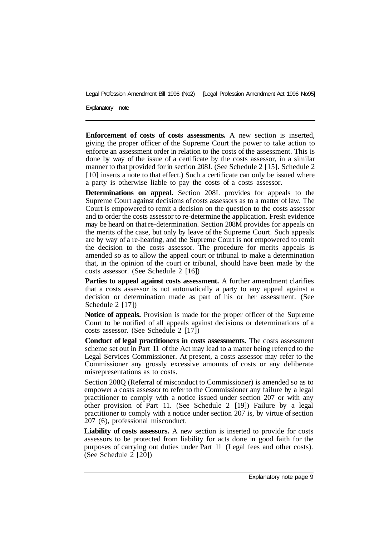Explanatory note

**Enforcement of costs of costs assessments.** A new section is inserted, giving the proper officer of the Supreme Court the power to take action to enforce an assessment order in relation to the costs of the assessment. This is done by way of the issue of a certificate by the costs assessor, in a similar manner to that provided for in section 208J. (See Schedule 2 [15]. Schedule 2 [10] inserts a note to that effect.) Such a certificate can only be issued where a party is otherwise liable to pay the costs of a costs assessor.

**Determinations on appeal.** Section 208L provides for appeals to the Supreme Court against decisions of costs assessors as to a matter of law. The Court is empowered to remit a decision on the question to the costs assessor and to order the costs assessor to re-determine the application. Fresh evidence may be heard on that re-determination. Section 208M provides for appeals on the merits of the case, but only by leave of the Supreme Court. Such appeals are by way of a re-hearing, and the Supreme Court is not empowered to remit the decision to the costs assessor. The procedure for merits appeals is amended so as to allow the appeal court or tribunal to make a determination that, in the opinion of the court or tribunal, should have been made by the costs assessor. (See Schedule 2 [16])

**Parties to appeal against costs assessment.** A further amendment clarifies that a costs assessor is not automatically a party to any appeal against a decision or determination made as part of his or her assessment. (See Schedule 2 [17])

**Notice of appeals.** Provision is made for the proper officer of the Supreme Court to be notified of all appeals against decisions or determinations of a costs assessor. (See Schedule 2 [17])

**Conduct of legal practitioners in costs assessments.** The costs assessment scheme set out in Part 11 of the Act may lead to a matter being referred to the Legal Services Commissioner. At present, a costs assessor may refer to the Commissioner any grossly excessive amounts of costs or any deliberate misrepresentations as to costs.

Section 208Q (Referral of misconduct to Commissioner) is amended so as to empower a costs assessor to refer to the Commissioner any failure by a legal practitioner to comply with a notice issued under section 207 or with any other provision of Part 11. (See Schedule 2 [19]) Failure by a legal practitioner to comply with a notice under section 207 is, by virtue of section 207 (6), professional misconduct.

**Liability of costs assessors.** A new section is inserted to provide for costs assessors to be protected from liability for acts done in good faith for the purposes of carrying out duties under Part 11 (Legal fees and other costs). (See Schedule 2 [20])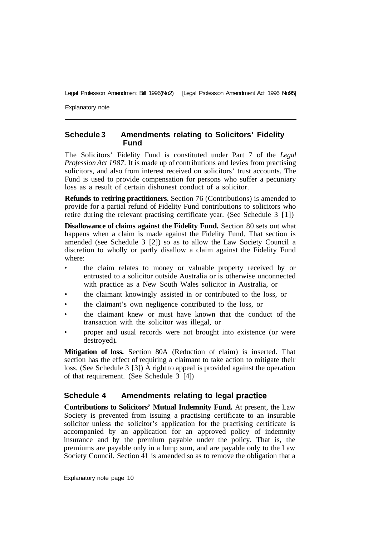Explanatory note

#### **Schedule 3 Amendments relating to Solicitors' Fidelity Fund**

The Solicitors' Fidelity Fund is constituted under Part 7 of the *Legal Profession Act 1987.* It is made up of contributions and levies from practising solicitors, and also from interest received on solicitors' trust accounts. The Fund is used to provide compensation for persons who suffer a pecuniary loss as a result of certain dishonest conduct of a solicitor.

**Refunds to retiring practitioners.** Section 76 (Contributions) is amended to provide for a partial refund of Fidelity Fund contributions to solicitors who retire during the relevant practising certificate year. (See Schedule 3 [1])

**Disallowance of claims against the Fidelity Fund.** Section 80 sets out what happens when a claim is made against the Fidelity Fund. That section is amended (see Schedule 3 [2]) so as to allow the Law Society Council a discretion to wholly or partly disallow a claim against the Fidelity Fund where:

- the claim relates to money or valuable property received by or entrusted to a solicitor outside Australia or is otherwise unconnected with practice as a New South Wales solicitor in Australia, or
- the claimant knowingly assisted in or contributed to the loss, or
- the claimant's own negligence contributed to the loss, or
- the claimant knew or must have known that the conduct of the transaction with the solicitor was illegal, or
- proper and usual records were not brought into existence (or were destroyed).

**Mitigation of loss.** Section 80A (Reduction of claim) is inserted. That section has the effect of requiring a claimant to take action to mitigate their loss. (See Schedule 3 [3]) A right to appeal is provided against the operation of that requirement. (See Schedule 3 [4])

### **Schedule 4 Amendments relating to legal practice**

**Contributions to Solicitors' Mutual Indemnity Fund.** At present, the Law Society is prevented from issuing a practising certificate to an insurable solicitor unless the solicitor's application for the practising certificate is accompanied by an application for an approved policy of indemnity insurance and by the premium payable under the policy. That is, the premiums are payable only in a lump sum, and are payable only to the Law Society Council. Section 41 is amended so as to remove the obligation that a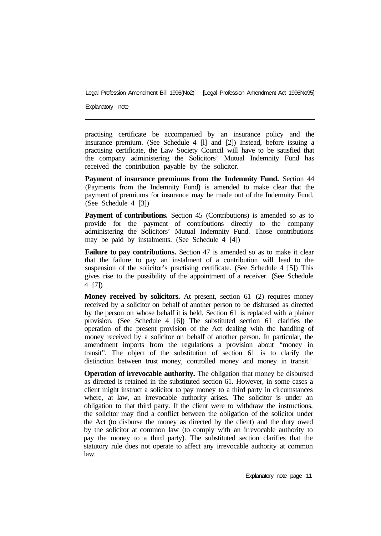Explanatory note

practising certificate be accompanied by an insurance policy and the insurance premium. (See Schedule 4 [l] and [2]) Instead, before issuing a practising certificate, the Law Society Council will have to be satisfied that the company administering the Solicitors' Mutual Indemnity Fund has received the contribution payable by the solicitor.

Payment of insurance premiums from the Indemnity Fund. Section 44 (Payments from the Indemnity Fund) is amended to make clear that the payment of premiums for insurance may be made out of the Indemnity Fund. (See Schedule 4 [3])

**Payment of contributions.** Section 45 (Contributions) is amended so as to provide for the payment of contributions directly to the company administering the Solicitors' Mutual Indemnity Fund. Those contributions may be paid by instalments. (See Schedule 4 [4])

Failure to pay contributions. Section 47 is amended so as to make it clear that the failure to pay an instalment of a contribution will lead to the suspension of the solicitor's practising certificate. (See Schedule 4 [5]) This gives rise to the possibility of the appointment of a receiver. (See Schedule 4 [7])

**Money received by solicitors.** At present, section 61 (2) requires money received by a solicitor on behalf of another person to be disbursed as directed by the person on whose behalf it is held. Section 61 is replaced with a plainer provision. (See Schedule 4 [6]) The substituted section 61 clarifies the operation of the present provision of the Act dealing with the handling of money received by a solicitor on behalf of another person. In particular, the amendment imports from the regulations a provision about "money in transit". The object of the substitution of section 61 is to clarify the distinction between trust money, controlled money and money in transit.

**Operation of irrevocable authority.** The obligation that money be disbursed as directed is retained in the substituted section 61. However, in some cases a client might instruct a solicitor to pay money to a third party in circumstances where, at law, an irrevocable authority arises. The solicitor is under an obligation to that third party. If the client were to withdraw the instructions, the solicitor may find a conflict between the obligation of the solicitor under the Act (to disburse the money as directed by the client) and the duty owed by the solicitor at common law (to comply with an irrevocable authority to pay the money to a third party). The substituted section clarifies that the statutory rule does not operate to affect any irrevocable authority at common law.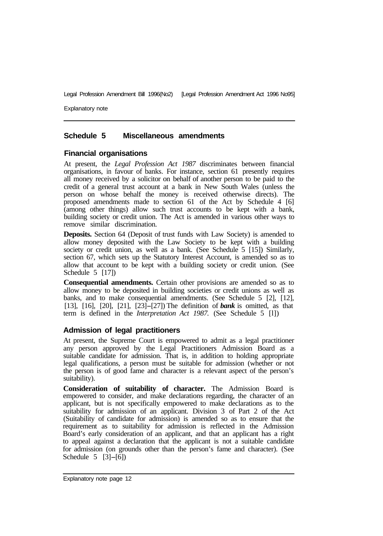Explanatory note

#### **Schedule 5 Miscellaneous amendments**

#### **Financial organisations**

At present, the *Legal Profession Act 1987* discriminates between financial organisations, in favour of banks. For instance, section 61 presently requires all money received by a solicitor on behalf of another person to be paid to the credit of a general trust account at a bank in New South Wales (unless the person on whose behalf the money is received otherwise directs). The proposed amendments made to section 61 of the Act by Schedule 4 [6] (among other things) allow such trust accounts to be kept with a bank, building society or credit union. The Act is amended in various other ways to remove similar discrimination.

**Deposits.** Section 64 (Deposit of trust funds with Law Society) is amended to allow money deposited with the Law Society to be kept with a building society or credit union, as well as a bank. (See Schedule 5 [15]) Similarly, section 67, which sets up the Statutory Interest Account, is amended so as to allow that account to be kept with a building society or credit union. (See Schedule 5 [17])

**Consequential amendments.** Certain other provisions are amended so as to allow money to be deposited in building societies or credit unions as well as banks, and to make consequential amendments. (See Schedule 5 [2], [12], [13], [16], [20], [21], [23]-[27]) The definition of *bank* is omitted, as that term is defined in the *Interpretation Act 1987.* (See Schedule 5 [l])

#### **Admission of legal practitioners**

At present, the Supreme Court is empowered to admit as a legal practitioner any person approved by the Legal Practitioners Admission Board as a suitable candidate for admission. That is, in addition to holding appropriate legal qualifications, a person must be suitable for admission (whether or not the person is of good fame and character is a relevant aspect of the person's suitability).

**Consideration of suitability of character.** The Admission Board is empowered to consider, and make declarations regarding, the character of an applicant, but is not specifically empowered to make declarations as to the suitability for admission of an applicant. Division 3 of Part 2 of the Act (Suitability of candidate for admission) is amended so as to ensure that the requirement as to suitability for admission is reflected in the Admission Board's early consideration of an applicant, and that an applicant has a right to appeal against a declaration that the applicant is not a suitable candidate for admission (on grounds other than the person's fame and character). (See Schedule 5 [3]-[6])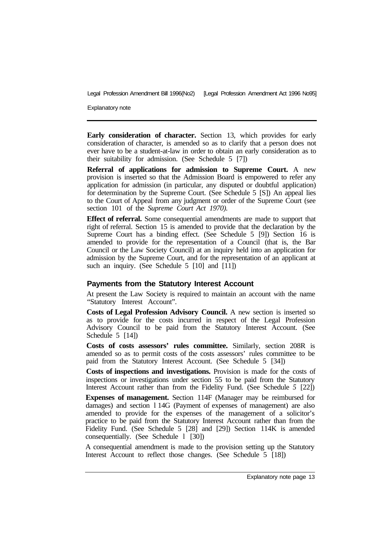Explanatory note

**Early consideration of character.** Section 13, which provides for early consideration of character, is amended so as to clarify that a person does not ever have to be a student-at-law in order to obtain an early consideration as to their suitability for admission. (See Schedule 5 [7])

**Referral of applications for admission to Supreme Court.** A new provision is inserted so that the Admission Board is empowered to refer any application for admission (in particular, any disputed or doubtful application) for determination by the Supreme Court. (See Schedule 5 [S]) An appeal lies to the Court of Appeal from any judgment or order of the Supreme Court (see section 101 of the *Supreme Court Act 1970).* 

**Effect of referral.** Some consequential amendments are made to support that right of referral. Section 15 is amended to provide that the declaration by the Supreme Court has a binding effect. (See Schedule 5 [9]) Section 16 is amended to provide for the representation of a Council (that is, the Bar Council or the Law Society Council) at an inquiry held into an application for admission by the Supreme Court, and for the representation of an applicant at such an inquiry. (See Schedule 5 [10] and [11])

#### **Payments from the Statutory Interest Account**

At present the Law Society is required to maintain an account with the name "Statutory Interest Account".

**Costs of Legal Profession Advisory Council.** A new section is inserted so as to provide for the costs incurred in respect of the Legal Profession Advisory Council to be paid from the Statutory Interest Account. (See Schedule 5 [14])

**Costs of costs assessors' rules committee.** Similarly, section 208R is amended so as to permit costs of the costs assessors' rules committee to be paid from the Statutory Interest Account. (See Schedule 5 [34])

**Costs of inspections and investigations.** Provision is made for the costs of inspections or investigations under section 55 to be paid from the Statutory Interest Account rather than from the Fidelity Fund. (See Schedule *5* [22])

**Expenses of management.** Section 114F (Manager may be reimbursed for damages) and section l 14G (Payment of expenses of management) are also amended to provide for the expenses of the management of a solicitor's practice to be paid from the Statutory Interest Account rather than from the Fidelity Fund. (See Schedule 5 [28] and [29]) Section 114K is amended consequentially. (See Schedule l [30])

A consequential amendment is made to the provision setting up the Statutory Interest Account to reflect those changes. (See Schedule 5 [18])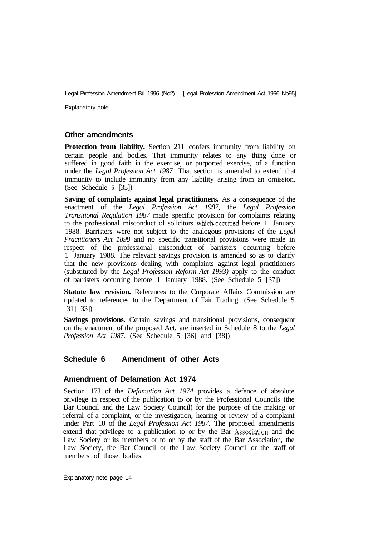Explanatory note

#### **Other amendments**

**Protection from liability.** Section 211 confers immunity from liability on certain people and bodies. That immunity relates to any thing done or suffered in good faith in the exercise, or purported exercise, of a function under the *Legal Profession Act 1987.* That section is amended to extend that immunity to include immunity from any liability arising from an omission. (See Schedule 5 [35])

**Saving of complaints against legal practitioners.** As a consequence of the enactment of the *Legal Profession Act 1987,* the *Legal Profession Transitional Regulation 1987* made specific provision for complaints relating to the professional misconduct of solicitors which occurred before 1 January 1988. Barristers were not subject to the analogous provisions of the *Legal Practitioners Act 1898* and no specific transitional provisions were made in respect of the professional misconduct of barristers occurring before 1 January 1988. The relevant savings provision is amended so as to clarify that the new provisions dealing with complaints against legal practitioners (substituted by the *Legal Profession Reform Act 1993)* apply to the conduct of barristers occurring before 1 January 1988. (See Schedule 5 [37])

**Statute law revision.** References to the Corporate Affairs Commission are updated to references to the Department of Fair Trading. (See Schedule 5 [31]-[33])

**Savings provisions.** Certain savings and transitional provisions, consequent on the enactment of the proposed Act, are inserted in Schedule 8 to the *Legal Profession Act 1987.* (See Schedule 5 [36] and [38])

#### **Schedule 6 Amendment of other Acts**

#### **Amendment of Defamation Act 1974**

Section 17J of the *Defamation Act 1974* provides a defence of absolute privilege in respect of the publication to or by the Professional Councils (the Bar Council and the Law Society Council) for the purpose of the making or referral of a cornplaint, or the investigation, hearing or review of a complaint under Part 10 of the *Legal Profession Act 1987.* The proposed amendments extend that privilege to a publication to or by the Bar Association and the Law Society or its members or to or by the staff of the Bar Association, the Law Society, the Bar Council or the Law Society Council or the staff of members of those bodies.

Explanatory note page 14